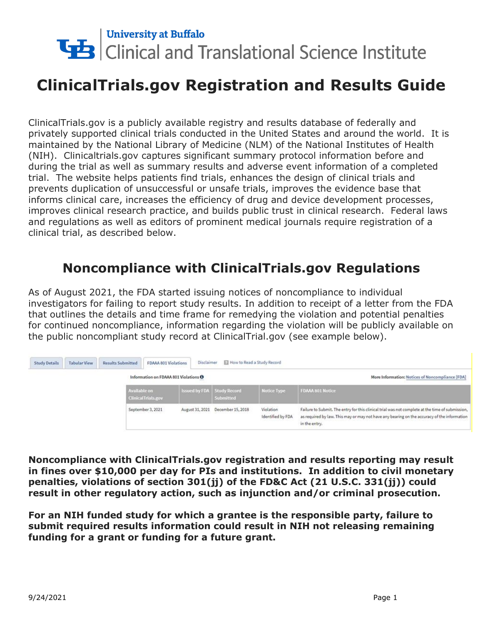

# **ClinicalTrials.gov Registration and Results Guide**

ClinicalTrials.gov is a publicly available registry and results database of federally and privately supported clinical trials conducted in the United States and around the world. It is maintained by the National Library of Medicine (NLM) of the National Institutes of Health (NIH). Clinicaltrials.gov captures significant summary protocol information before and during the trial as well as summary results and adverse event information of a completed trial. The website helps patients find trials, enhances the design of clinical trials and prevents duplication of unsuccessful or unsafe trials, improves the evidence base that informs clinical care, increases the efficiency of drug and device development processes, improves clinical research practice, and builds public trust in clinical research. Federal laws and regulations as well as editors of prominent medical journals require registration of a clinical trial, as described below.

# **Noncompliance with ClinicalTrials.gov Regulations**

As of August 2021, the FDA started issuing notices of noncompliance to individual investigators for failing to report study results. In addition to receipt of a letter from the FDA that outlines the details and time frame for remedying the violation and potential penalties for continued noncompliance, information regarding the violation will be publicly available on the public noncompliant study record at ClinicalTrial.gov (see example below).

| <b>Study Details</b> | <b>Tabular View</b>                   | <b>Results Submitted</b>                         | <b>FDAAA 801 Violations</b> | Disclaimer                        | How to Read a Study Record        |                                |                                                                                                                                                                                                                  |
|----------------------|---------------------------------------|--------------------------------------------------|-----------------------------|-----------------------------------|-----------------------------------|--------------------------------|------------------------------------------------------------------------------------------------------------------------------------------------------------------------------------------------------------------|
|                      | Information on FDAAA 801 Violations O |                                                  |                             |                                   |                                   |                                | More Information: Notices of Noncompliance [FDA]                                                                                                                                                                 |
|                      |                                       | <b>Available on</b><br><b>ClinicalTrials.gov</b> |                             | <b>Issued by FDA</b> Study Record | <b>Submitted</b>                  | <b>Notice Type</b>             | <b>FDAAA 801 Notice</b>                                                                                                                                                                                          |
|                      |                                       |                                                  | September 3, 2021           |                                   | August 31, 2021 December 15, 2018 | Violation<br>Identified by FDA | Failure to Submit. The entry for this clinical trial was not complete at the time of submission,<br>as required by law. This may or may not have any bearing on the accuracy of the information<br>in the entry. |

**Noncompliance with ClinicalTrials.gov registration and results reporting may result in fines over \$10,000 per day for PIs and institutions. In addition to civil monetary penalties, violations of section 301(jj) of the FD&C Act (21 U.S.C. 331(jj)) could result in other regulatory action, such as injunction and/or criminal prosecution.** 

**For an NIH funded study for which a grantee is the responsible party, failure to submit required results information could result in NIH not releasing remaining funding for a grant or funding for a future grant.**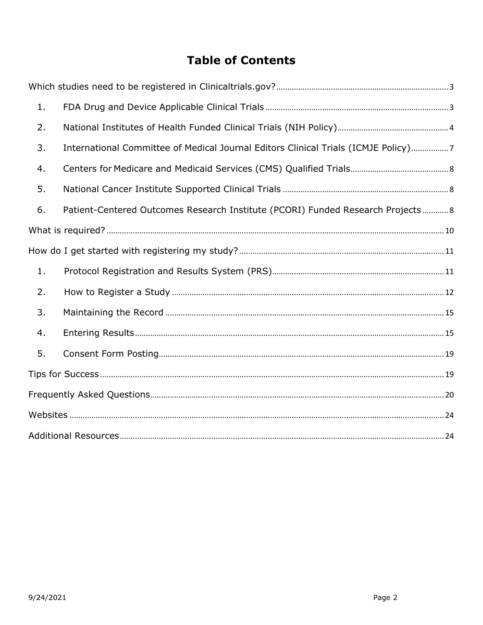## **Table of Contents**

<span id="page-1-0"></span>

| 1. |                                                                                    |  |
|----|------------------------------------------------------------------------------------|--|
| 2. |                                                                                    |  |
| 3. | International Committee of Medical Journal Editors Clinical Trials (ICMJE Policy)7 |  |
| 4. |                                                                                    |  |
| 5. |                                                                                    |  |
| 6. | Patient-Centered Outcomes Research Institute (PCORI) Funded Research Projects 8    |  |
|    |                                                                                    |  |
|    |                                                                                    |  |
| 1. |                                                                                    |  |
| 2. |                                                                                    |  |
| 3. |                                                                                    |  |
| 4. |                                                                                    |  |
| 5. |                                                                                    |  |
|    |                                                                                    |  |
|    |                                                                                    |  |
|    |                                                                                    |  |
|    |                                                                                    |  |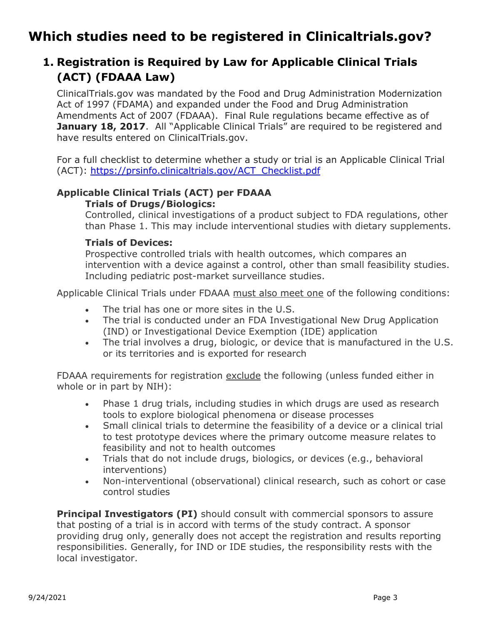# **Which studies need to be registered in Clinicaltrials.gov?**

## <span id="page-2-0"></span>**1. Registration is Required by Law for Applicable Clinical Trials (ACT) (FDAAA Law)**

ClinicalTrials.gov was mandated by the Food and Drug Administration Modernization Act of 1997 (FDAMA) and expanded under the Food and Drug Administration Amendments Act of 2007 (FDAAA). Final Rule regulations became effective as of **January 18, 2017.** All "Applicable Clinical Trials" are required to be registered and have results entered on ClinicalTrials.gov.

For a full checklist to determine whether a study or trial is an Applicable Clinical Trial (ACT): [https://prsinfo.clinicaltrials.gov/ACT\\_Checklist.pdf](https://prsinfo.clinicaltrials.gov/ACT_Checklist.pdf)

#### **Applicable Clinical Trials (ACT) per FDAAA Trials of Drugs/Biologics:**

Controlled, clinical investigations of a product subject to FDA regulations, other than Phase 1. This may include interventional studies with dietary supplements.

#### **Trials of Devices:**

Prospective controlled trials with health outcomes, which compares an intervention with a device against a control, other than small feasibility studies. Including pediatric post-market surveillance studies.

Applicable Clinical Trials under FDAAA must also meet one of the following conditions:

- The trial has one or more sites in the U.S.
- The trial is conducted under an FDA Investigational New Drug Application (IND) or Investigational Device Exemption (IDE) application
- The trial involves a drug, biologic, or device that is manufactured in the U.S. or its territories and is exported for research

FDAAA requirements for registration exclude the following (unless funded either in whole or in part by NIH):

- Phase 1 drug trials, including studies in which drugs are used as research tools to explore biological phenomena or disease processes
- Small clinical trials to determine the feasibility of a device or a clinical trial to test prototype devices where the primary outcome measure relates to feasibility and not to health outcomes
- Trials that do not include drugs, biologics, or devices (e.g., behavioral interventions)
- Non-interventional (observational) clinical research, such as cohort or case control studies

**Principal Investigators (PI)** should consult with commercial sponsors to assure that posting of a trial is in accord with terms of the study contract. A sponsor providing drug only, generally does not accept the registration and results reporting responsibilities. Generally, for IND or IDE studies, the responsibility rests with the local investigator.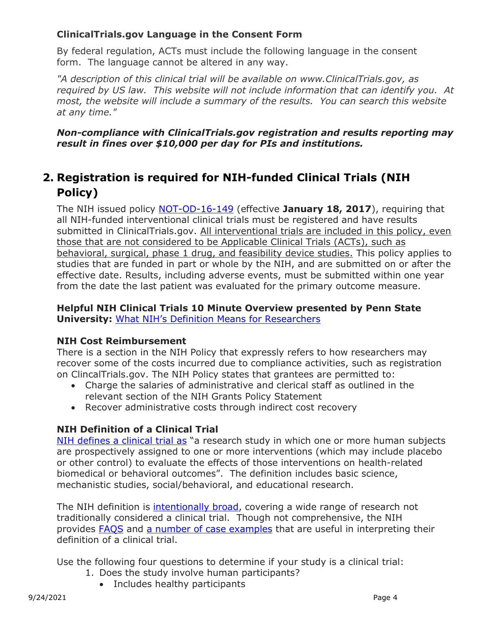#### **ClinicalTrials.gov Language in the Consent Form**

By federal regulation, ACTs must include the following language in the consent form. The language cannot be altered in any way.

*"A description of this clinical trial will be available on www.ClinicalTrials.gov, as required by US law. This website will not include information that can identify you. At most, the website will include a summary of the results. You can search this website at any time."*

#### *Non-compliance with ClinicalTrials.gov registration and results reporting may result in fines over \$10,000 per day for PIs and institutions.*

## <span id="page-3-0"></span>**2. Registration is required for NIH-funded Clinical Trials (NIH Policy)**

The NIH issued policy [NOT-OD-16-149](https://grants.nih.gov/grants/guide/notice-files/NOT-OD-16-149.html) (effective **January 18, 2017**), requiring that all NIH-funded interventional clinical trials must be registered and have results submitted in ClinicalTrials.gov. All interventional trials are included in this policy, even those that are not considered to be Applicable Clinical Trials (ACTs), such as behavioral, surgical, phase 1 drug, and feasibility device studies. This policy applies to studies that are funded in part or whole by the NIH, and are submitted on or after the effective date. Results, including adverse events, must be submitted within one year from the date the last patient was evaluated for the primary outcome measure.

#### **Helpful NIH Clinical Trials 10 Minute Overview presented by Penn State University:** [What NIH's Definition Means for Researchers](https://www.youtube.com/watch?v=uMv3Ix7lIbk&feature=youtu.be)

#### **NIH Cost Reimbursement**

There is a section in the NIH Policy that expressly refers to how researchers may recover some of the costs incurred due to compliance activities, such as registration on ClincalTrials.gov. The NIH Policy states that grantees are permitted to:

- Charge the salaries of administrative and clerical staff as outlined in the relevant section of the NIH Grants Policy Statement
- Recover administrative costs through indirect cost recovery

#### **NIH Definition of a Clinical Trial**

[NIH defines a clinical trial as](https://grants.nih.gov/policy/clinical-trials/definition.htm) "a research study in which one or more human subjects are prospectively assigned to one or more interventions (which may include placebo or other control) to evaluate the effects of those interventions on health-related biomedical or behavioral outcomes". The definition includes basic science, mechanistic studies, social/behavioral, and educational research.

The NIH definition is [intentionally broad,](http://www.nature.com/articles/s41562-017-0265-4.epdf?shared_access_token=affstguJ3cA7jKDMnSOxcNRgN0jAjWel9jnR3ZoTv0PvjGx7hHMybeRUi3OcI2LOVKth1cYptPpILr9U5XyFJIa7EU3scrRbRHwLMfd9JEKuWROD5cDrw-ORdJxl-L6jhjPIqhQ6FAf8LcNVIHlF2rcuQz-ZuYRgku1J_oRSjh4%3D) covering a wide range of research not traditionally considered a clinical trial. Though not comprehensive, the NIH provides [FAQS](https://grants.nih.gov/grants/policy/faq_clinical_trial_definition.htm) and [a number of case examples](https://grants.nih.gov/policy/clinical-trials/case-studies.htm) that are useful in interpreting their definition of a clinical trial.

Use the following four questions to determine if your study is a clinical trial:

- 1. Does the study involve human participants?
	- Includes healthy participants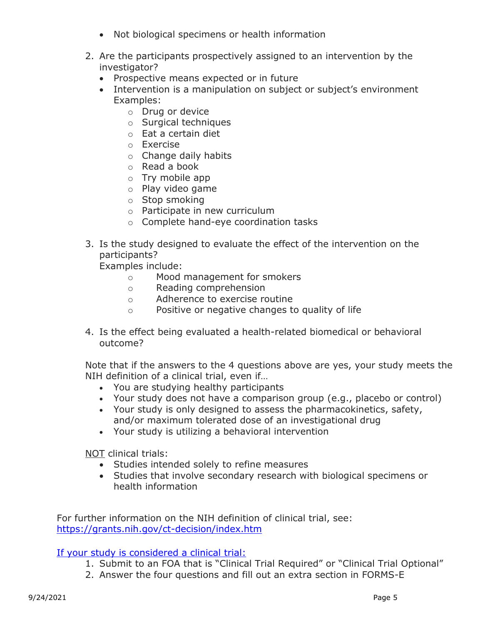- Not biological specimens or health information
- 2. Are the participants prospectively assigned to an intervention by the investigator?
	- Prospective means expected or in future
	- Intervention is a manipulation on subject or subject's environment Examples:
		- o Drug or device
		- o Surgical techniques
		- o Eat a certain diet
		- o Exercise
		- o Change daily habits
		- o Read a book
		- o Try mobile app
		- o Play video game
		- o Stop smoking
		- o Participate in new curriculum
		- o Complete hand-eye coordination tasks
- 3. Is the study designed to evaluate the effect of the intervention on the participants?

Examples include:

- o Mood management for smokers
- o Reading comprehension
- o Adherence to exercise routine
- o Positive or negative changes to quality of life
- 4. Is the effect being evaluated a health-related biomedical or behavioral outcome?

Note that if the answers to the 4 questions above are yes, your study meets the NIH definition of a clinical trial, even if…

- You are studying healthy participants
- Your study does not have a comparison group (e.g., placebo or control)
- Your study is only designed to assess the pharmacokinetics, safety, and/or maximum tolerated dose of an investigational drug
- Your study is utilizing a behavioral intervention

NOT clinical trials:

- Studies intended solely to refine measures
- Studies that involve secondary research with biological specimens or health information

For further information on the NIH definition of clinical trial, see: <https://grants.nih.gov/ct-decision/index.htm>

#### [If your study is considered a clinical trial:](https://grants.nih.gov/policy/clinical-trials/specific-funding-opportunities.htm)

- 1. Submit to an FOA that is "Clinical Trial Required" or "Clinical Trial Optional"
- 2. Answer the four questions and fill out an extra section in FORMS-E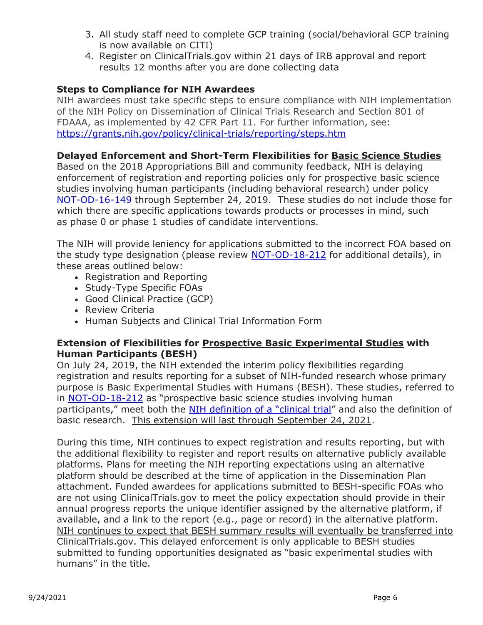- 3. All study staff need to complete GCP training (social/behavioral GCP training is now available on CITI)
- 4. Register on ClinicalTrials.gov within 21 days of IRB approval and report results 12 months after you are done collecting data

#### **Steps to Compliance for NIH Awardees**

NIH awardees must take specific steps to ensure compliance with NIH implementation of the NIH Policy on Dissemination of Clinical Trials Research and Section 801 of FDAAA, as implemented by 42 CFR Part 11. For further information, see: <https://grants.nih.gov/policy/clinical-trials/reporting/steps.htm>

#### **Delayed Enforcement and Short-Term Flexibilities for Basic Science Studies**

Based on the 2018 Appropriations Bill and community feedback, NIH is delaying enforcement of registration and reporting policies only for prospective basic science studies involving human participants (including behavioral research) under policy [NOT-OD-16-149](https://grants.nih.gov/grants/guide/notice-files/NOT-OD-16-149.html) through September 24, 2019. These studies do not include those for which there are specific applications towards products or processes in mind, such as phase 0 or phase 1 studies of candidate interventions.

The NIH will provide leniency for applications submitted to the incorrect FOA based on the study type designation (please review [NOT-OD-18-212](https://grants.nih.gov/grants/guide/notice-files/NOT-OD-18-212.html) for additional details), in these areas outlined below:

- Registration and Reporting
- Study-Type Specific FOAs
- Good Clinical Practice (GCP)
- Review Criteria
- Human Subjects and Clinical Trial Information Form

#### **Extension of Flexibilities for Prospective Basic Experimental Studies with Human Participants (BESH)**

On July 24, 2019, the NIH extended the interim policy flexibilities regarding registration and results reporting for a subset of NIH-funded research whose primary purpose is Basic Experimental Studies with Humans (BESH). These studies, referred to in [NOT-OD-18-212](https://grants.nih.gov/grants/guide/notice-files/NOT-OD-18-212.html) as "prospective basic science studies involving human participants," meet both the [NIH definition of a "clinical trial"](https://grants.nih.gov/grants/guide/notice-files/NOT-OD-15-015.html) and also the definition of basic research. This extension will last through September 24, 2021.

During this time, NIH continues to expect registration and results reporting, but with the additional flexibility to register and report results on alternative publicly available platforms. Plans for meeting the NIH reporting expectations using an alternative platform should be described at the time of application in the Dissemination Plan attachment. Funded awardees for applications submitted to BESH-specific FOAs who are not using ClinicalTrials.gov to meet the policy expectation should provide in their annual progress reports the unique identifier assigned by the alternative platform, if available, and a link to the report (e.g., page or record) in the alternative platform. NIH continues to expect that BESH summary results will eventually be transferred into ClinicalTrials.gov. This delayed enforcement is only applicable to BESH studies submitted to funding opportunities designated as "basic experimental studies with humans" in the title.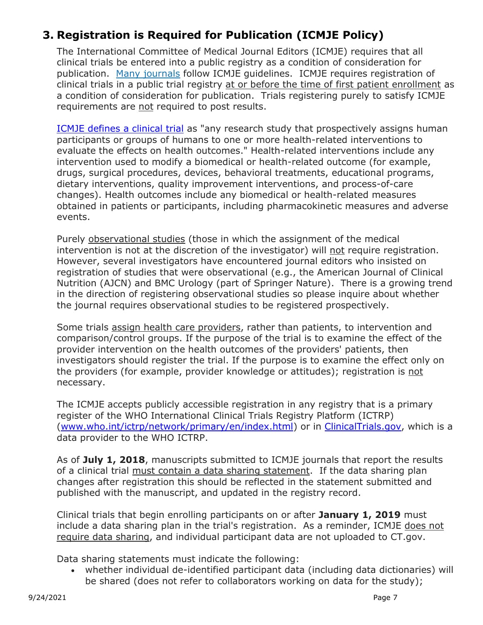## <span id="page-6-0"></span>**3. Registration is Required for Publication (ICMJE Policy)**

The International Committee of Medical Journal Editors (ICMJE) requires that all clinical trials be entered into a public registry as a condition of consideration for publication. [Many journals](http://www.icmje.org/journals-following-the-icmje-recommendations/) follow ICMJE guidelines. ICMJE requires registration of clinical trials in a public trial registry at or before the time of first patient enrollment as a condition of consideration for publication. Trials registering purely to satisfy ICMJE requirements are not required to post results.

[ICMJE defines a clinical trial](http://www.icmje.org/about-icmje/faqs/clinical-trials-registration/) as "any research study that prospectively assigns human participants or groups of humans to one or more health-related interventions to evaluate the effects on health outcomes." Health-related interventions include any intervention used to modify a biomedical or health-related outcome (for example, drugs, surgical procedures, devices, behavioral treatments, educational programs, dietary interventions, quality improvement interventions, and process-of-care changes). Health outcomes include any biomedical or health-related measures obtained in patients or participants, including pharmacokinetic measures and adverse events.

Purely observational studies (those in which the assignment of the medical intervention is not at the discretion of the investigator) will not require registration. However, several investigators have encountered journal editors who insisted on registration of studies that were observational (e.g., the American Journal of Clinical Nutrition (AJCN) and BMC Urology (part of Springer Nature). There is a growing trend in the direction of registering observational studies so please inquire about whether the journal requires observational studies to be registered prospectively.

Some trials assign health care providers, rather than patients, to intervention and comparison/control groups. If the purpose of the trial is to examine the effect of the provider intervention on the health outcomes of the providers' patients, then investigators should register the trial. If the purpose is to examine the effect only on the providers (for example, provider knowledge or attitudes); registration is not necessary.

The ICMJE accepts publicly accessible registration in any registry that is a primary register of the WHO International Clinical Trials Registry Platform (ICTRP) [\(www.who.int/ictrp/network/primary/en/index.html\)](http://www.who.int/ictrp/network/primary/en/) or in [ClinicalTrials.gov,](https://clinicaltrials.gov/) which is a data provider to the WHO ICTRP.

As of **July 1, 2018**, manuscripts submitted to ICMJE journals that report the results of a clinical trial must contain a data sharing statement. If the data sharing plan changes after registration this should be reflected in the statement submitted and published with the manuscript, and updated in the registry record.

Clinical trials that begin enrolling participants on or after **January 1, 2019** must include a data sharing plan in the trial's registration. As a reminder, ICMJE does not require data sharing, and individual participant data are not uploaded to CT.gov.

Data sharing statements must indicate the following:

• whether individual de-identified participant data (including data dictionaries) will be shared (does not refer to collaborators working on data for the study);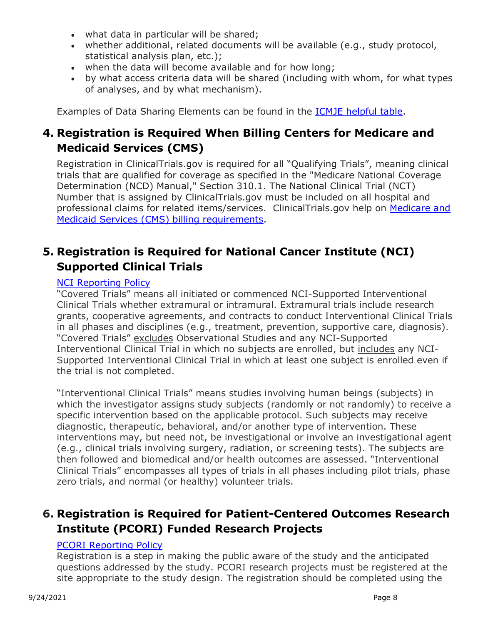- what data in particular will be shared;
- whether additional, related documents will be available (e.g., study protocol, statistical analysis plan, etc.);
- when the data will become available and for how long;
- by what access criteria data will be shared (including with whom, for what types of analyses, and by what mechanism).

Examples of Data Sharing Elements can be found in the [ICMJE helpful table.](http://www.icmje.org/recommendations/browse/publishing-and-editorial-issues/clinical-trial-registration.html)

## <span id="page-7-0"></span>**4. Registration is Required When Billing Centers for Medicare and Medicaid Services (CMS)**

Registration in ClinicalTrials.gov is required for all "Qualifying Trials", meaning clinical trials that are qualified for coverage as specified in the "Medicare National Coverage Determination (NCD) Manual," Section 310.1. The National Clinical Trial (NCT) Number that is assigned by ClinicalTrials.gov must be included on all hospital and professional claims for related items/services. ClinicalTrials.gov help on Medicare and [Medicaid Services \(CMS\) billing requirements.](https://clinicaltrials.gov/ct2/manage-recs/resources#CMS)

### <span id="page-7-1"></span>**5. Registration is Required for National Cancer Institute (NCI) Supported Clinical Trials**

#### [NCI Reporting Policy](https://grants.nih.gov/grants/guide/notice-files/NOT-CA-15-011.html)

"Covered Trials" means all initiated or commenced NCI-Supported Interventional Clinical Trials whether extramural or intramural. Extramural trials include research grants, cooperative agreements, and contracts to conduct Interventional Clinical Trials in all phases and disciplines (e.g., treatment, prevention, supportive care, diagnosis). "Covered Trials" excludes Observational Studies and any NCI-Supported Interventional Clinical Trial in which no subjects are enrolled, but includes any NCI-Supported Interventional Clinical Trial in which at least one subject is enrolled even if the trial is not completed.

"Interventional Clinical Trials" means studies involving human beings (subjects) in which the investigator assigns study subjects (randomly or not randomly) to receive a specific intervention based on the applicable protocol. Such subjects may receive diagnostic, therapeutic, behavioral, and/or another type of intervention. These interventions may, but need not, be investigational or involve an investigational agent (e.g., clinical trials involving surgery, radiation, or screening tests). The subjects are then followed and biomedical and/or health outcomes are assessed. "Interventional Clinical Trials" encompasses all types of trials in all phases including pilot trials, phase zero trials, and normal (or healthy) volunteer trials.

### <span id="page-7-2"></span>**6. Registration is Required for Patient-Centered Outcomes Research Institute (PCORI) Funded Research Projects**

#### [PCORI Reporting Policy](https://www.pcori.org/sites/default/files/PCORI-Peer-Review-and-Release-of-Findings-Process.pdf)

Registration is a step in making the public aware of the study and the anticipated questions addressed by the study. PCORI research projects must be registered at the site appropriate to the study design. The registration should be completed using the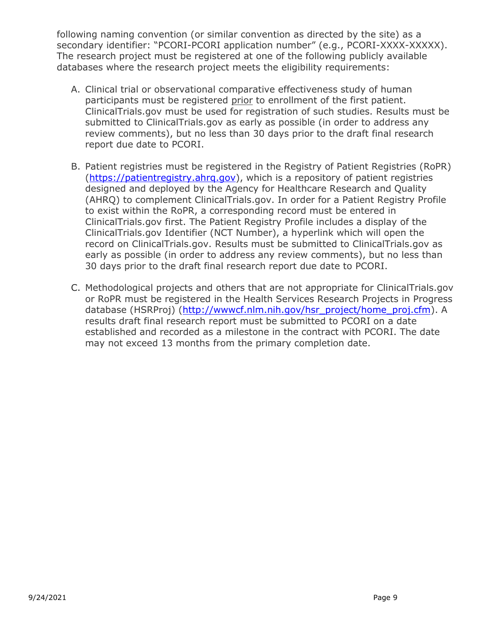following naming convention (or similar convention as directed by the site) as a secondary identifier: "PCORI-PCORI application number" (e.g., PCORI-XXXX-XXXXX). The research project must be registered at one of the following publicly available databases where the research project meets the eligibility requirements:

- A. Clinical trial or observational comparative effectiveness study of human participants must be registered prior to enrollment of the first patient. ClinicalTrials.gov must be used for registration of such studies. Results must be submitted to ClinicalTrials.gov as early as possible (in order to address any review comments), but no less than 30 days prior to the draft final research report due date to PCORI.
- B. Patient registries must be registered in the Registry of Patient Registries (RoPR) [\(https://patientregistry.ahrq.gov\)](https://patientregistry.ahrq.gov/), which is a repository of patient registries designed and deployed by the Agency for Healthcare Research and Quality (AHRQ) to complement ClinicalTrials.gov. In order for a Patient Registry Profile to exist within the RoPR, a corresponding record must be entered in ClinicalTrials.gov first. The Patient Registry Profile includes a display of the ClinicalTrials.gov Identifier (NCT Number), a hyperlink which will open the record on ClinicalTrials.gov. Results must be submitted to ClinicalTrials.gov as early as possible (in order to address any review comments), but no less than 30 days prior to the draft final research report due date to PCORI.
- C. Methodological projects and others that are not appropriate for ClinicalTrials.gov or RoPR must be registered in the Health Services Research Projects in Progress database (HSRProj) [\(http://wwwcf.nlm.nih.gov/hsr\\_project/home\\_proj.cfm\)](http://wwwcf.nlm.nih.gov/hsr_project/home_proj.cfm). A results draft final research report must be submitted to PCORI on a date established and recorded as a milestone in the contract with PCORI. The date may not exceed 13 months from the primary completion date.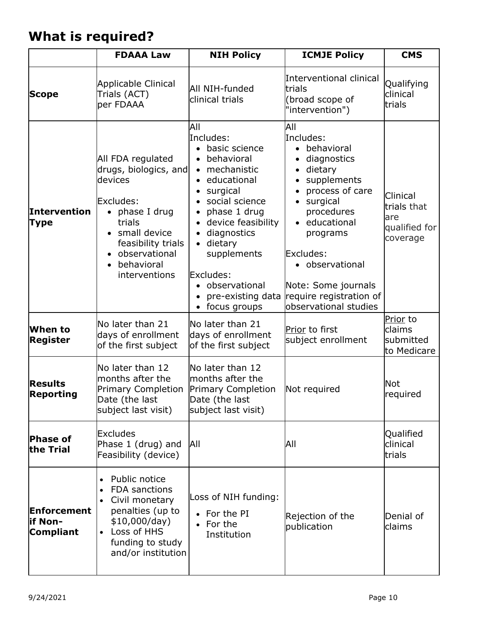# <span id="page-9-0"></span>**What is required?**

|                                            | <b>FDAAA Law</b>                                                                                                                                                                                          | <b>NIH Policy</b>                                                                                                                                                                                                                                                                                                     | <b>ICMJE Policy</b>                                                                                                                                                                                                                                                                                              | <b>CMS</b>                                                  |
|--------------------------------------------|-----------------------------------------------------------------------------------------------------------------------------------------------------------------------------------------------------------|-----------------------------------------------------------------------------------------------------------------------------------------------------------------------------------------------------------------------------------------------------------------------------------------------------------------------|------------------------------------------------------------------------------------------------------------------------------------------------------------------------------------------------------------------------------------------------------------------------------------------------------------------|-------------------------------------------------------------|
| <b>Scope</b>                               | Applicable Clinical<br>Trials (ACT)<br>per FDAAA                                                                                                                                                          | All NIH-funded<br>clinical trials                                                                                                                                                                                                                                                                                     | Interventional clinical<br>trials<br>(broad scope of<br>"intervention")                                                                                                                                                                                                                                          | Qualifying<br>clinical<br>trials                            |
| Intervention<br><b>Type</b>                | All FDA regulated<br>drugs, biologics, and<br>devices<br>Excludes:<br>$\bullet$ phase I drug<br>trials<br>small device<br>feasibility trials<br>observational<br>behavioral<br>interventions              | All<br>Includes:<br>basic science<br>behavioral<br>$\bullet$<br>mechanistic<br>$\bullet$<br>• educational<br>surgical<br>social science<br>phase 1 drug<br>$\bullet$<br>• device feasibility<br>diagnostics<br>dietary<br>supplements<br>Excludes:<br>observational<br>pre-existing data<br>focus groups<br>$\bullet$ | All<br>Includes:<br>behavioral<br>$\bullet$<br>diagnostics<br>$\bullet$<br>dietary<br>$\bullet$<br>supplements<br>process of care<br>surgical<br>$\bullet$<br>procedures<br>• educational<br>programs<br>Excludes:<br>· observational<br>Note: Some journals<br>require registration of<br>observational studies | Clinical<br>trials that<br>are<br>qualified for<br>coverage |
| When to<br>Register                        | No later than 21<br>days of enrollment<br>of the first subject                                                                                                                                            | No later than 21<br>days of enrollment<br>of the first subject                                                                                                                                                                                                                                                        | Prior to first<br>subject enrollment                                                                                                                                                                                                                                                                             | Prior to<br>claims<br>submitted<br>to Medicare              |
| <b>Results</b><br>Reporting                | No later than 12<br>months after the<br><b>Primary Completion</b><br>Date (the last<br>subject last visit)                                                                                                | No later than 12<br>months after the<br><b>Primary Completion</b><br>Date (the last<br>subject last visit)                                                                                                                                                                                                            | Not required                                                                                                                                                                                                                                                                                                     | Not<br>required                                             |
| Phase of<br>the Trial                      | Excludes<br>Phase 1 (drug) and<br>Feasibility (device)                                                                                                                                                    | All                                                                                                                                                                                                                                                                                                                   | All                                                                                                                                                                                                                                                                                                              | Qualified<br>clinical<br>trials                             |
| Enforcement<br>if Non-<br><b>Compliant</b> | Public notice<br>$\bullet$<br><b>FDA</b> sanctions<br>$\bullet$<br>Civil monetary<br>$\bullet$<br>penalties (up to<br>\$10,000/day)<br>Loss of HHS<br>$\bullet$<br>funding to study<br>and/or institution | Loss of NIH funding:<br>• For the PI<br>For the<br>Institution                                                                                                                                                                                                                                                        | Rejection of the<br>publication                                                                                                                                                                                                                                                                                  | Denial of<br>claims                                         |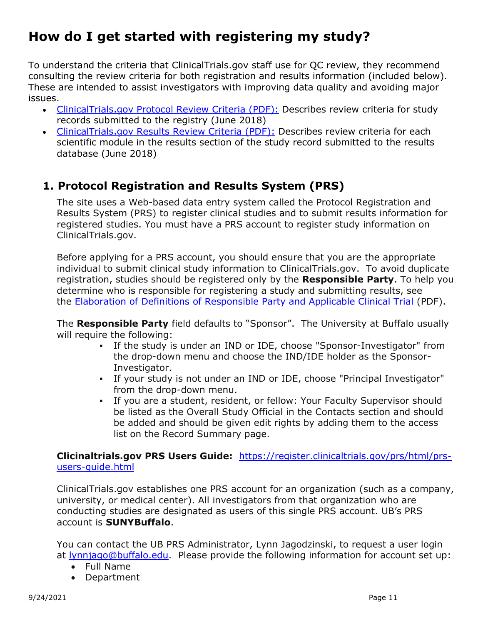# <span id="page-10-0"></span>**How do I get started with registering my study?**

To understand the criteria that ClinicalTrials.gov staff use for QC review, they recommend consulting the review criteria for both registration and results information (included below). These are intended to assist investigators with improving data quality and avoiding major issues.

- [ClinicalTrials.gov Protocol Review Criteria](https://prsinfo.clinicaltrials.gov/ProtocolDetailedReviewItems.pdf) (PDF): Describes review criteria for study records submitted to the registry (June 2018)
- [ClinicalTrials.gov Results Review Criteria](https://prsinfo.clinicaltrials.gov/ResultsDetailedReviewItems.pdf) (PDF): Describes review criteria for each scientific module in the results section of the study record submitted to the results database (June 2018)

## <span id="page-10-1"></span>**1. Protocol Registration and Results System (PRS)**

The site uses a Web-based data entry system called the Protocol Registration and Results System (PRS) to register clinical studies and to submit results information for registered studies. You must have a PRS account to register study information on ClinicalTrials.gov.

Before applying for a PRS account, you should ensure that you are the appropriate individual to submit clinical study information to ClinicalTrials.gov. To avoid duplicate registration, studies should be registered only by the **Responsible Party**. To help you determine who is responsible for registering a study and submitting results, see the [Elaboration of Definitions of Responsible Party and Applicable Clinical Trial](http://prsinfo.clinicaltrials.gov/ElaborationsOnDefinitions.pdf) (PDF).

The **Responsible Party** field defaults to "Sponsor". The University at Buffalo usually will require the following:

- If the study is under an IND or IDE, choose "Sponsor-Investigator" from the drop-down menu and choose the IND/IDE holder as the Sponsor-Investigator.
- If your study is not under an IND or IDE, choose "Principal Investigator" from the drop-down menu.
- If you are a student, resident, or fellow: Your Faculty Supervisor should be listed as the Overall Study Official in the Contacts section and should be added and should be given edit rights by adding them to the access list on the Record Summary page.

**Clicinaltrials.gov PRS Users Guide:** [https://register.clinicaltrials.gov/prs/html/prs](https://register.clinicaltrials.gov/prs/html/prs-users-guide.html)[users-guide.html](https://register.clinicaltrials.gov/prs/html/prs-users-guide.html)

ClinicalTrials.gov establishes one PRS account for an organization (such as a company, university, or medical center). All investigators from that organization who are conducting studies are designated as users of this single PRS account. UB's PRS account is **SUNYBuffalo**.

You can contact the UB PRS Administrator, Lynn Jagodzinski, to request a user login at [lynnjago@buffalo.edu.](mailto:lynnjago@buffalo.edu) Please provide the following information for account set up:

- Full Name
- Department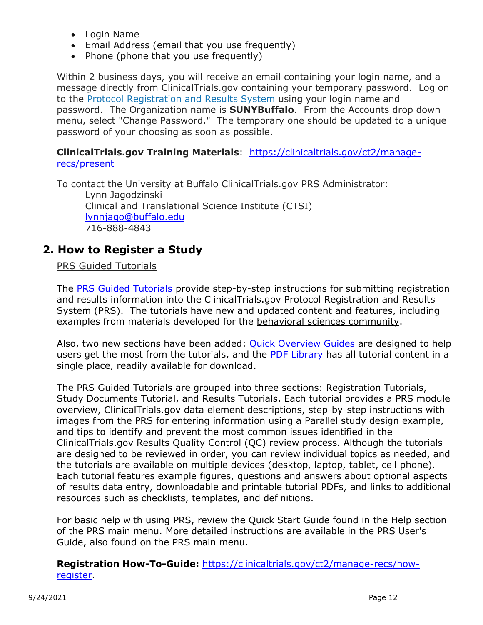- Login Name
- Email Address (email that you use frequently)
- Phone (phone that you use frequently)

Within 2 business days, you will receive an email containing your login name, and a message directly from ClinicalTrials.gov containing your temporary password. Log on to the [Protocol Registration and Results System](https://register.clinicaltrials.gov/) using your login name and password. The Organization name is **SUNYBuffalo**. From the Accounts drop down menu, select "Change Password." The temporary one should be updated to a unique password of your choosing as soon as possible.

#### **ClinicalTrials.gov Training Materials**: [https://clinicaltrials.gov/ct2/manage](https://clinicaltrials.gov/ct2/manage-recs/present)[recs/present](https://clinicaltrials.gov/ct2/manage-recs/present)

To contact the University at Buffalo ClinicalTrials.gov PRS Administrator: Lynn Jagodzinski Clinical and Translational Science Institute (CTSI) [lynnjago@buffalo.edu](mailto:lynnjago@buffalo.edu) 716-888-4843

### <span id="page-11-0"></span>**2. How to Register a Study**

#### PRS Guided Tutorials

The [PRS Guided Tutorials](https://nam02.safelinks.protection.outlook.com/?url=https%3A%2F%2Flnks.gd%2Fl%2FeyJhbGciOiJIUzI1NiJ9.eyJidWxsZXRpbl9saW5rX2lkIjoxMDcsInVyaSI6ImJwMjpjbGljayIsImJ1bGxldGluX2lkIjoiMjAyMTAzMDkuMzY2NDIxNDEiLCJ1cmwiOiJodHRwczovL3Byc2luZm8uY2xpbmljYWx0cmlhbHMuZ292L3R1dG9yaWFsL2NvbnRlbnQvaW5kZXguaHRtbD91dG1fbWVkaXVtPWVtYWlsJnV0bV9zb3VyY2U9Z292ZGVsaXZlcnkjLyJ9.kGDaIHvFMuls6_nTvM2AeO9QjjzUAzhgH4j76dtCBN8%2Fs%2F1021761028%2Fbr%2F99645939619-l&data=04%7C01%7Cakeyes1%40jhmi.edu%7C626e58f524214f1a358608d8e32cee65%7C9fa4f438b1e6473b803f86f8aedf0dec%7C0%7C0%7C637509131850084796%7CUnknown%7CTWFpbGZsb3d8eyJWIjoiMC4wLjAwMDAiLCJQIjoiV2luMzIiLCJBTiI6Ik1haWwiLCJXVCI6Mn0%3D%7C1000&sdata=16vpcQDLZ1GUsv06infPj231JR54P2RKQBiXlrkZnmw%3D&reserved=0) provide step-by-step instructions for submitting registration and results information into the ClinicalTrials.gov Protocol Registration and Results System (PRS). The tutorials have new and updated content and features, including examples from materials developed for the behavioral sciences community.

Also, two new sections have been added: [Quick Overview Guides](https://nam02.safelinks.protection.outlook.com/?url=https%3A%2F%2Flnks.gd%2Fl%2FeyJhbGciOiJIUzI1NiJ9.eyJidWxsZXRpbl9saW5rX2lkIjoxMDgsInVyaSI6ImJwMjpjbGljayIsImJ1bGxldGluX2lkIjoiMjAyMTAzMDkuMzY2NDIxNDEiLCJ1cmwiOiJodHRwczovL3Byc2luZm8uY2xpbmljYWx0cmlhbHMuZ292L3R1dG9yaWFsL2NvbnRlbnQvaW5kZXguaHRtbD91dG1fbWVkaXVtPWVtYWlsJnV0bV9zb3VyY2U9Z292ZGVsaXZlcnkjL2xlc3NvbnMvYVJLRTV1Q2lCUlZTRVA2Z2FJbkFPbDFPWE1FTDkzZncifQ._NdNQ6sVfIIuNCvuUsJQvrIDFtMq9aLY7xwhqPAZ1pY%2Fs%2F1021761028%2Fbr%2F99645939619-l&data=04%7C01%7Cakeyes1%40jhmi.edu%7C626e58f524214f1a358608d8e32cee65%7C9fa4f438b1e6473b803f86f8aedf0dec%7C0%7C0%7C637509131850089793%7CUnknown%7CTWFpbGZsb3d8eyJWIjoiMC4wLjAwMDAiLCJQIjoiV2luMzIiLCJBTiI6Ik1haWwiLCJXVCI6Mn0%3D%7C1000&sdata=ae6a%2BbwzA1bwv1vQ2qUrId7IdKrPEOxIrJro7eI5Bpw%3D&reserved=0) are designed to help users get the most from the tutorials, and the [PDF Library](https://nam02.safelinks.protection.outlook.com/?url=https%3A%2F%2Flnks.gd%2Fl%2FeyJhbGciOiJIUzI1NiJ9.eyJidWxsZXRpbl9saW5rX2lkIjoxMDksInVyaSI6ImJwMjpjbGljayIsImJ1bGxldGluX2lkIjoiMjAyMTAzMDkuMzY2NDIxNDEiLCJ1cmwiOiJodHRwczovL3Byc2luZm8uY2xpbmljYWx0cmlhbHMuZ292L3R1dG9yaWFsL2NvbnRlbnQvaW5kZXguaHRtbD91dG1fbWVkaXVtPWVtYWlsJnV0bV9zb3VyY2U9Z292ZGVsaXZlcnkjL2xlc3NvbnMvYVJLRTV1Q2lCUlZTRVA2Z2FJbkFPbDFPWE1FTDkzZncifQ.oVMxShudXXogkyNK1JJ61jTXNmWJ91nxruYaaCC6h5c%2Fs%2F1021761028%2Fbr%2F99645939619-l&data=04%7C01%7Cakeyes1%40jhmi.edu%7C626e58f524214f1a358608d8e32cee65%7C9fa4f438b1e6473b803f86f8aedf0dec%7C0%7C0%7C637509131850094793%7CUnknown%7CTWFpbGZsb3d8eyJWIjoiMC4wLjAwMDAiLCJQIjoiV2luMzIiLCJBTiI6Ik1haWwiLCJXVCI6Mn0%3D%7C1000&sdata=0c6VdEkdCY5EyEPKDMTrjBFftfSrLnfkD0pqVBoGGHk%3D&reserved=0) has all tutorial content in a single place, readily available for download.

The PRS Guided Tutorials are grouped into three sections: Registration Tutorials, Study Documents Tutorial, and Results Tutorials. Each tutorial provides a PRS module overview, ClinicalTrials.gov data element descriptions, step-by-step instructions with images from the PRS for entering information using a Parallel study design example, and tips to identify and prevent the most common issues identified in the ClinicalTrials.gov Results Quality Control (QC) review process. Although the tutorials are designed to be reviewed in order, you can review individual topics as needed, and the tutorials are available on multiple devices (desktop, laptop, tablet, cell phone). Each tutorial features example figures, questions and answers about optional aspects of results data entry, downloadable and printable tutorial PDFs, and links to additional resources such as checklists, templates, and definitions.

For basic help with using PRS, review the Quick Start Guide found in the Help section of the PRS main menu. More detailed instructions are available in the PRS User's Guide, also found on the PRS main menu.

#### **Registration How-To-Guide:** [https://clinicaltrials.gov/ct2/manage-recs/how](https://clinicaltrials.gov/ct2/manage-recs/how-register)[register.](https://clinicaltrials.gov/ct2/manage-recs/how-register)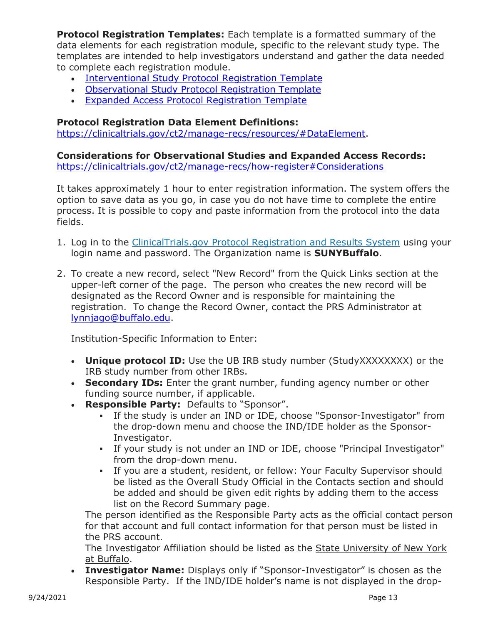**Protocol Registration Templates:** Each template is a formatted summary of the data elements for each registration module, specific to the relevant study type. The templates are intended to help investigators understand and gather the data needed to complete each registration module.

- [Interventional Study Protocol Registration Template](https://prsinfo.clinicaltrials.gov/Interventional_Study_Protocol_Registration_Template_Jan_2018.pdf)
- [Observational Study Protocol Registration Template](https://prsinfo.clinicaltrials.gov/Observational_Study_Protocol_Registration_Template.pdf)
- [Expanded Access Protocol Registration Template](https://prsinfo.clinicaltrials.gov/Expanded_Access_Protocol_Registration_Template.pdf)

#### **Protocol Registration Data Element Definitions:**

[https://clinicaltrials.gov/ct2/manage-recs/resources/#DataElement.](https://clinicaltrials.gov/ct2/manage-recs/resources/#DataElement)

**Considerations for Observational Studies and Expanded Access Records:** <https://clinicaltrials.gov/ct2/manage-recs/how-register#Considerations>

It takes approximately 1 hour to enter registration information. The system offers the option to save data as you go, in case you do not have time to complete the entire process. It is possible to copy and paste information from the protocol into the data fields.

- 1. Log in to the *[ClinicalTrials.gov Protocol Registration and Results System](https://register.clinicaltrials.gov/) using your* login name and password. The Organization name is **SUNYBuffalo**.
- 2. To create a new record, select "New Record" from the Quick Links section at the upper-left corner of the page. The person who creates the new record will be designated as the Record Owner and is responsible for maintaining the registration. To change the Record Owner, contact the PRS Administrator at [lynnjago@buffalo.edu.](mailto:lynnjago@buffalo.edu)

Institution-Specific Information to Enter:

- **Unique protocol ID:** Use the UB IRB study number (StudyXXXXXXXX) or the IRB study number from other IRBs.
- **Secondary IDs:** Enter the grant number, funding agency number or other funding source number, if applicable.
- **Responsible Party:** Defaults to "Sponsor".
	- If the study is under an IND or IDE, choose "Sponsor-Investigator" from the drop-down menu and choose the IND/IDE holder as the Sponsor-Investigator.
	- If your study is not under an IND or IDE, choose "Principal Investigator" from the drop-down menu.
	- If you are a student, resident, or fellow: Your Faculty Supervisor should be listed as the Overall Study Official in the Contacts section and should be added and should be given edit rights by adding them to the access list on the Record Summary page.

The person identified as the Responsible Party acts as the official contact person for that account and full contact information for that person must be listed in the PRS account.

The Investigator Affiliation should be listed as the State University of New York at Buffalo.

• **Investigator Name:** Displays only if "Sponsor-Investigator" is chosen as the Responsible Party. If the IND/IDE holder's name is not displayed in the drop-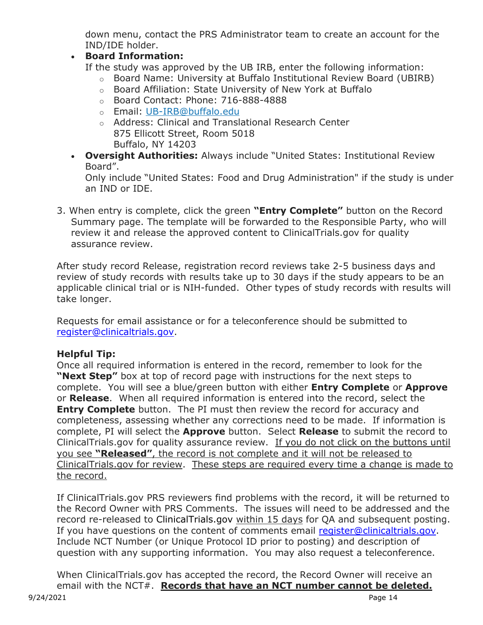down menu, contact the PRS Administrator team to create an account for the IND/IDE holder.

#### • **Board Information:**

If the study was approved by the UB IRB, enter the following information:

- o Board Name: University at Buffalo Institutional Review Board (UBIRB)
- o Board Affiliation: State University of New York at Buffalo
- o Board Contact: Phone: 716-888-4888
- o Email: UB-IRB@buffalo.edu
- o Address: Clinical and Translational Research Center 875 Ellicott Street, Room 5018 Buffalo, NY 14203
- **Oversight Authorities:** Always include "United States: Institutional Review Board".

Only include "United States: Food and Drug Administration" if the study is under an IND or IDE.

3. When entry is complete, click the green **"Entry Complete"** button on the Record Summary page. The template will be forwarded to the Responsible Party, who will review it and release the approved content to ClinicalTrials.gov for quality assurance review.

After study record Release, registration record reviews take 2-5 business days and review of study records with results take up to 30 days if the study appears to be an applicable clinical trial or is NIH-funded. Other types of study records with results will take longer.

Requests for email assistance or for a teleconference should be submitted to [register@clinicaltrials.gov.](mailto:register@clinicaltrials.gov)

#### **Helpful Tip:**

Once all required information is entered in the record, remember to look for the **"Next Step"** box at top of record page with instructions for the next steps to complete. You will see a blue/green button with either **Entry Complete** or **Approve** or **Release**. When all required information is entered into the record, select the **Entry Complete** button. The PI must then review the record for accuracy and completeness, assessing whether any corrections need to be made. If information is complete, PI will select the **Approve** button. Select **Release** to submit the record to ClinicalTrials.gov for quality assurance review. If you do not click on the buttons until you see **"Released"**, the record is not complete and it will not be released to ClinicalTrials.gov for review. These steps are required every time a change is made to the record.

If ClinicalTrials.gov PRS reviewers find problems with the record, it will be returned to the Record Owner with PRS Comments. The issues will need to be addressed and the record re-released to ClinicalTrials.gov within 15 days for QA and subsequent posting. If you have questions on the content of comments email [register@clinicaltrials.gov.](mailto:register@clinicaltrials.gov) Include NCT Number (or Unique Protocol ID prior to posting) and description of question with any supporting information. You may also request a teleconference.

When ClinicalTrials.gov has accepted the record, the Record Owner will receive an email with the NCT#. **Records that have an NCT number cannot be deleted.**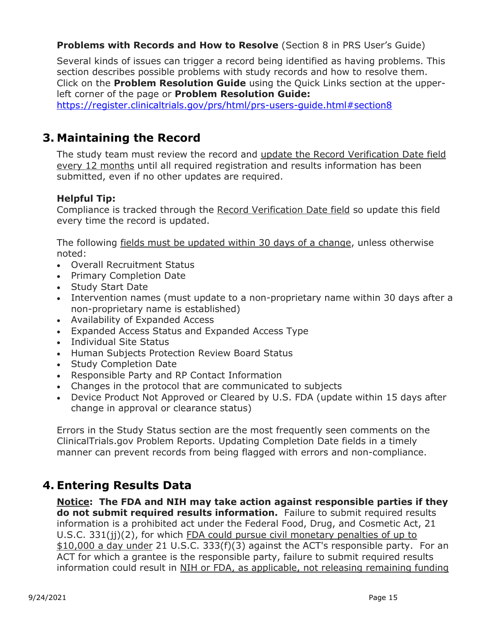#### **Problems with Records and How to Resolve** (Section 8 in PRS User's Guide)

Several kinds of issues can trigger a record being identified as having problems. This section describes possible problems with study records and how to resolve them. Click on the **Problem Resolution Guide** using the Quick Links section at the upperleft corner of the page or **Problem Resolution Guide:**

<https://register.clinicaltrials.gov/prs/html/prs-users-guide.html#section8>

### <span id="page-14-0"></span>**3. Maintaining the Record**

The study team must review the record and update the Record Verification Date field every 12 months until all required registration and results information has been submitted, even if no other updates are required.

#### **Helpful Tip:**

Compliance is tracked through the Record Verification Date field so update this field every time the record is updated.

The following fields must be updated within 30 days of a change, unless otherwise noted:

- Overall Recruitment Status
- Primary Completion Date
- Study Start Date
- Intervention names (must update to a non-proprietary name within 30 days after a non-proprietary name is established)
- Availability of Expanded Access
- Expanded Access Status and Expanded Access Type
- Individual Site Status
- Human Subjects Protection Review Board Status
- Study Completion Date
- Responsible Party and RP Contact Information
- Changes in the protocol that are communicated to subjects
- Device Product Not Approved or Cleared by U.S. FDA (update within 15 days after change in approval or clearance status)

Errors in the Study Status section are the most frequently seen comments on the ClinicalTrials.gov Problem Reports. Updating Completion Date fields in a timely manner can prevent records from being flagged with errors and non-compliance.

### <span id="page-14-1"></span>**4. Entering Results Data**

**Notice: The FDA and NIH may take action against responsible parties if they do not submit required results information.** Failure to submit required results information is a prohibited act under the Federal Food, Drug, and Cosmetic Act, 21 U.S.C. 331(jj)(2), for which FDA could pursue civil monetary penalties of up to \$10,000 a day under 21 U.S.C. 333(f)(3) against the ACT's responsible party. For an ACT for which a grantee is the responsible party, failure to submit required results information could result in NIH or FDA, as applicable, not releasing remaining funding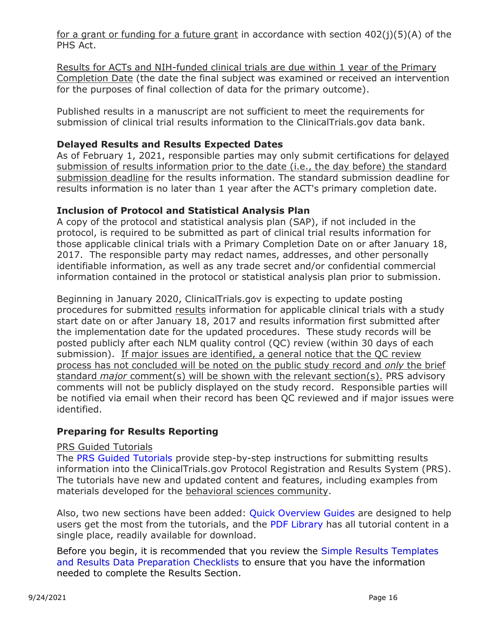for a grant or funding for a future grant in accordance with section  $402(j)(5)(A)$  of the PHS Act.

Results for ACTs and NIH-funded clinical trials are due within 1 year of the Primary Completion Date (the date the final subject was examined or received an intervention for the purposes of final collection of data for the primary outcome).

Published results in a manuscript are not sufficient to meet the requirements for submission of clinical trial results information to the ClinicalTrials.gov data bank.

#### **Delayed Results and Results Expected Dates**

As of February 1, 2021, responsible parties may only submit certifications for delayed submission of results information prior to the date (i.e., the day before) the standard submission deadline for the results information. The standard submission deadline for results information is no later than 1 year after the ACT's primary completion date.

#### **Inclusion of Protocol and Statistical Analysis Plan**

A copy of the protocol and statistical analysis plan (SAP), if not included in the protocol, is required to be submitted as part of clinical trial results information for those applicable clinical trials with a Primary Completion Date on or after January 18, 2017. The responsible party may redact names, addresses, and other personally identifiable information, as well as any trade secret and/or confidential commercial information contained in the protocol or statistical analysis plan prior to submission.

Beginning in January 2020, ClinicalTrials.gov is expecting to update posting procedures for submitted results information for applicable clinical trials with a study start date on or after January 18, 2017 and results information first submitted after the implementation date for the updated procedures. These study records will be posted publicly after each NLM quality control (QC) review (within 30 days of each submission). If major issues are identified, a general notice that the QC review process has not concluded will be noted on the public study record and *only* the brief standard *major* comment(s) will be shown with the relevant section(s). PRS advisory comments will not be publicly displayed on the study record. Responsible parties will be notified via email when their record has been QC reviewed and if major issues were identified.

#### **Preparing for Results Reporting**

#### PRS Guided Tutorials

The [PRS Guided Tutorials](https://nam02.safelinks.protection.outlook.com/?url=https%3A%2F%2Flnks.gd%2Fl%2FeyJhbGciOiJIUzI1NiJ9.eyJidWxsZXRpbl9saW5rX2lkIjoxMDcsInVyaSI6ImJwMjpjbGljayIsImJ1bGxldGluX2lkIjoiMjAyMTAzMDkuMzY2NDIxNDEiLCJ1cmwiOiJodHRwczovL3Byc2luZm8uY2xpbmljYWx0cmlhbHMuZ292L3R1dG9yaWFsL2NvbnRlbnQvaW5kZXguaHRtbD91dG1fbWVkaXVtPWVtYWlsJnV0bV9zb3VyY2U9Z292ZGVsaXZlcnkjLyJ9.kGDaIHvFMuls6_nTvM2AeO9QjjzUAzhgH4j76dtCBN8%2Fs%2F1021761028%2Fbr%2F99645939619-l&data=04%7C01%7Cakeyes1%40jhmi.edu%7C626e58f524214f1a358608d8e32cee65%7C9fa4f438b1e6473b803f86f8aedf0dec%7C0%7C0%7C637509131850084796%7CUnknown%7CTWFpbGZsb3d8eyJWIjoiMC4wLjAwMDAiLCJQIjoiV2luMzIiLCJBTiI6Ik1haWwiLCJXVCI6Mn0%3D%7C1000&sdata=16vpcQDLZ1GUsv06infPj231JR54P2RKQBiXlrkZnmw%3D&reserved=0) provide step-by-step instructions for submitting results information into the ClinicalTrials.gov Protocol Registration and Results System (PRS). The tutorials have new and updated content and features, including examples from materials developed for the behavioral sciences community.

Also, two new sections have been added: [Quick Overview Guides](https://nam02.safelinks.protection.outlook.com/?url=https%3A%2F%2Flnks.gd%2Fl%2FeyJhbGciOiJIUzI1NiJ9.eyJidWxsZXRpbl9saW5rX2lkIjoxMDgsInVyaSI6ImJwMjpjbGljayIsImJ1bGxldGluX2lkIjoiMjAyMTAzMDkuMzY2NDIxNDEiLCJ1cmwiOiJodHRwczovL3Byc2luZm8uY2xpbmljYWx0cmlhbHMuZ292L3R1dG9yaWFsL2NvbnRlbnQvaW5kZXguaHRtbD91dG1fbWVkaXVtPWVtYWlsJnV0bV9zb3VyY2U9Z292ZGVsaXZlcnkjL2xlc3NvbnMvYVJLRTV1Q2lCUlZTRVA2Z2FJbkFPbDFPWE1FTDkzZncifQ._NdNQ6sVfIIuNCvuUsJQvrIDFtMq9aLY7xwhqPAZ1pY%2Fs%2F1021761028%2Fbr%2F99645939619-l&data=04%7C01%7Cakeyes1%40jhmi.edu%7C626e58f524214f1a358608d8e32cee65%7C9fa4f438b1e6473b803f86f8aedf0dec%7C0%7C0%7C637509131850089793%7CUnknown%7CTWFpbGZsb3d8eyJWIjoiMC4wLjAwMDAiLCJQIjoiV2luMzIiLCJBTiI6Ik1haWwiLCJXVCI6Mn0%3D%7C1000&sdata=ae6a%2BbwzA1bwv1vQ2qUrId7IdKrPEOxIrJro7eI5Bpw%3D&reserved=0) are designed to help users get the most from the tutorials, and the [PDF Library](https://nam02.safelinks.protection.outlook.com/?url=https%3A%2F%2Flnks.gd%2Fl%2FeyJhbGciOiJIUzI1NiJ9.eyJidWxsZXRpbl9saW5rX2lkIjoxMDksInVyaSI6ImJwMjpjbGljayIsImJ1bGxldGluX2lkIjoiMjAyMTAzMDkuMzY2NDIxNDEiLCJ1cmwiOiJodHRwczovL3Byc2luZm8uY2xpbmljYWx0cmlhbHMuZ292L3R1dG9yaWFsL2NvbnRlbnQvaW5kZXguaHRtbD91dG1fbWVkaXVtPWVtYWlsJnV0bV9zb3VyY2U9Z292ZGVsaXZlcnkjL2xlc3NvbnMvYVJLRTV1Q2lCUlZTRVA2Z2FJbkFPbDFPWE1FTDkzZncifQ.oVMxShudXXogkyNK1JJ61jTXNmWJ91nxruYaaCC6h5c%2Fs%2F1021761028%2Fbr%2F99645939619-l&data=04%7C01%7Cakeyes1%40jhmi.edu%7C626e58f524214f1a358608d8e32cee65%7C9fa4f438b1e6473b803f86f8aedf0dec%7C0%7C0%7C637509131850094793%7CUnknown%7CTWFpbGZsb3d8eyJWIjoiMC4wLjAwMDAiLCJQIjoiV2luMzIiLCJBTiI6Ik1haWwiLCJXVCI6Mn0%3D%7C1000&sdata=0c6VdEkdCY5EyEPKDMTrjBFftfSrLnfkD0pqVBoGGHk%3D&reserved=0) has all tutorial content in a single place, readily available for download.

Before you begin, it is recommended that you review the [Simple Results Templates](http://prsinfo.clinicaltrials.gov/results_table_layout/ResultSimpleForms.html)  [and Results Data Preparation Checklists](http://prsinfo.clinicaltrials.gov/results_table_layout/ResultSimpleForms.html) to ensure that you have the information needed to complete the Results Section.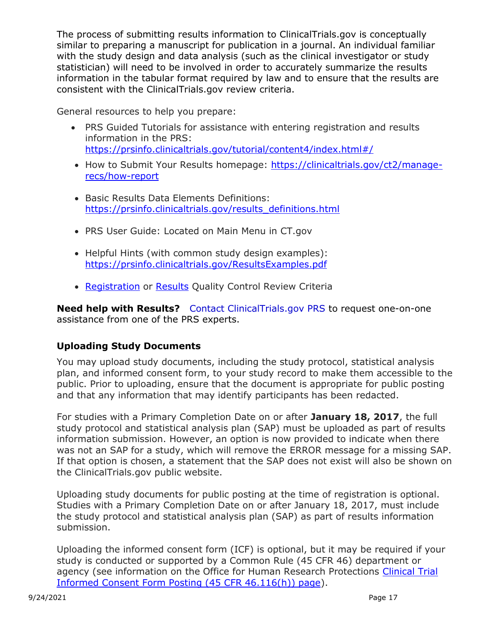The process of submitting results information to ClinicalTrials.gov is conceptually similar to preparing a manuscript for publication in a journal. An individual familiar with the study design and data analysis (such as the clinical investigator or study statistician) will need to be involved in order to accurately summarize the results information in the tabular format required by law and to ensure that the results are consistent with the ClinicalTrials.gov review criteria.

General resources to help you prepare:

- PRS Guided Tutorials for assistance with entering registration and results information in the PRS: <https://prsinfo.clinicaltrials.gov/tutorial/content4/index.html#/>
- How to Submit Your Results homepage: [https://clinicaltrials.gov/ct2/manage](https://clinicaltrials.gov/ct2/manage-recs/how-report)[recs/how-report](https://clinicaltrials.gov/ct2/manage-recs/how-report)
- Basic Results Data Elements Definitions: [https://prsinfo.clinicaltrials.gov/results\\_definitions.html](https://prsinfo.clinicaltrials.gov/results_definitions.html)
- PRS User Guide: Located on Main Menu in CT.gov
- Helpful Hints (with common study design examples): <https://prsinfo.clinicaltrials.gov/ResultsExamples.pdf>
- [Registration](https://prsinfo.clinicaltrials.gov/ProtocolDetailedReviewItems.pdf) or [Results](https://prsinfo.clinicaltrials.gov/ResultsDetailedReviewItems.pdf) Quality Control Review Criteria

**Need help with Results?** [Contact ClinicalTrials.gov PRS](https://register.clinicaltrials.gov/prs/app/template/AdminEmail.vm?resultshelp=true&popup=true&uid=U0002MTU&ts=25&sid=S0003IW0&cx=md6mi4) to request one-on-one assistance from one of the PRS experts.

#### **Uploading Study Documents**

You may upload study documents, including the study protocol, statistical analysis plan, and informed consent form, to your study record to make them accessible to the public. Prior to uploading, ensure that the document is appropriate for public posting and that any information that may identify participants has been redacted.

For studies with a Primary Completion Date on or after **January 18, 2017**, the full study protocol and statistical analysis plan (SAP) must be uploaded as part of results information submission. However, an option is now provided to indicate when there was not an SAP for a study, which will remove the ERROR message for a missing SAP. If that option is chosen, a statement that the SAP does not exist will also be shown on the ClinicalTrials.gov public website.

Uploading study documents for public posting at the time of registration is optional. Studies with a Primary Completion Date on or after January 18, 2017, must include the study protocol and statistical analysis plan (SAP) as part of results information submission.

Uploading the informed consent form (ICF) is optional, but it may be required if your study is conducted or supported by a Common Rule (45 CFR 46) department or agency (see information on the Office for Human Research Protections Clinical Trial [Informed Consent Form Posting \(45 CFR 46.116\(h\)\) page\)](https://www.hhs.gov/ohrp/regulations-and-policy/informed-consent-posting/index.html).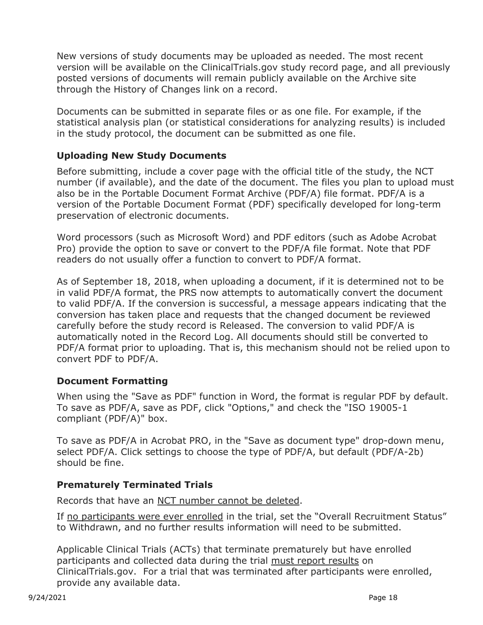New versions of study documents may be uploaded as needed. The most recent version will be available on the ClinicalTrials.gov study record page, and all previously posted versions of documents will remain publicly available on the Archive site through the History of Changes link on a record.

Documents can be submitted in separate files or as one file. For example, if the statistical analysis plan (or statistical considerations for analyzing results) is included in the study protocol, the document can be submitted as one file.

#### **Uploading New Study Documents**

Before submitting, include a cover page with the official title of the study, the NCT number (if available), and the date of the document. The files you plan to upload must also be in the Portable Document Format Archive (PDF/A) file format. PDF/A is a version of the Portable Document Format (PDF) specifically developed for long-term preservation of electronic documents.

Word processors (such as Microsoft Word) and PDF editors (such as Adobe Acrobat Pro) provide the option to save or convert to the PDF/A file format. Note that PDF readers do not usually offer a function to convert to PDF/A format.

As of September 18, 2018, when uploading a document, if it is determined not to be in valid PDF/A format, the PRS now attempts to automatically convert the document to valid PDF/A. If the conversion is successful, a message appears indicating that the conversion has taken place and requests that the changed document be reviewed carefully before the study record is Released. The conversion to valid PDF/A is automatically noted in the Record Log. All documents should still be converted to PDF/A format prior to uploading. That is, this mechanism should not be relied upon to convert PDF to PDF/A.

#### **Document Formatting**

When using the "Save as PDF" function in Word, the format is regular PDF by default. To save as PDF/A, save as PDF, click "Options," and check the "ISO 19005-1 compliant (PDF/A)" box.

To save as PDF/A in Acrobat PRO, in the "Save as document type" drop-down menu, select PDF/A. Click settings to choose the type of PDF/A, but default (PDF/A-2b) should be fine.

#### **Prematurely Terminated Trials**

Records that have an NCT number cannot be deleted.

If no participants were ever enrolled in the trial, set the "Overall Recruitment Status" to Withdrawn, and no further results information will need to be submitted.

Applicable Clinical Trials (ACTs) that terminate prematurely but have enrolled participants and collected data during the trial must report results on ClinicalTrials.gov. For a trial that was terminated after participants were enrolled, provide any available data.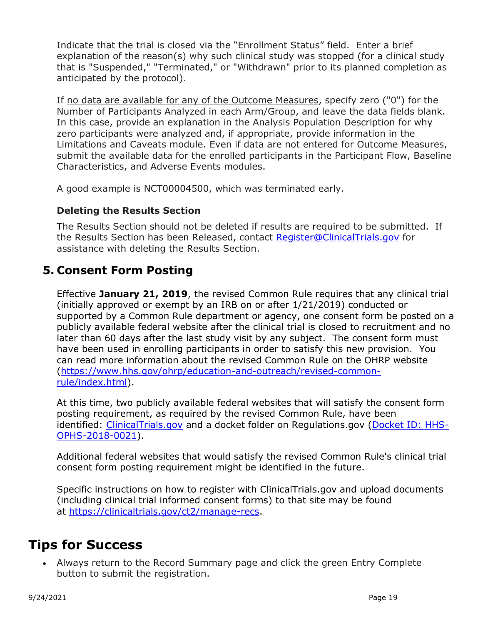Indicate that the trial is closed via the "Enrollment Status" field. Enter a brief explanation of the reason(s) why such clinical study was stopped (for a clinical study that is "Suspended," "Terminated," or "Withdrawn" prior to its planned completion as anticipated by the protocol).

If no data are available for any of the Outcome Measures, specify zero ("0") for the Number of Participants Analyzed in each Arm/Group, and leave the data fields blank. In this case, provide an explanation in the Analysis Population Description for why zero participants were analyzed and, if appropriate, provide information in the Limitations and Caveats module. Even if data are not entered for Outcome Measures, submit the available data for the enrolled participants in the Participant Flow, Baseline Characteristics, and Adverse Events modules.

A good example is NCT00004500, which was terminated early.

#### **Deleting the Results Section**

The Results Section should not be deleted if results are required to be submitted. If the Results Section has been Released, contact [Register@ClinicalTrials.gov](http://mailto:register@clinicaltrials.gov/) for assistance with deleting the Results Section.

## <span id="page-18-0"></span>**5. Consent Form Posting**

Effective **January 21, 2019**, the revised Common Rule requires that any clinical trial (initially approved or exempt by an IRB on or after 1/21/2019) conducted or supported by a Common Rule department or agency, one consent form be posted on a publicly available federal website after the clinical trial is closed to recruitment and no later than 60 days after the last study visit by any subject. The consent form must have been used in enrolling participants in order to satisfy this new provision. You can read more information about the revised Common Rule on the OHRP website [\(https://www.hhs.gov/ohrp/education-and-outreach/revised-common](https://www.hhs.gov/ohrp/education-and-outreach/revised-common-rule/index.html)[rule/index.html\)](https://www.hhs.gov/ohrp/education-and-outreach/revised-common-rule/index.html).

At this time, two publicly available federal websites that will satisfy the consent form posting requirement, as required by the revised Common Rule, have been identified: [ClinicalTrials.gov](https://clinicaltrials.gov/ct2/manage-recs) and a docket folder on Regulations.gov [\(Docket ID: HHS-](https://www.regulations.gov/docket?D=HHS-OPHS-2018-0021)[OPHS-2018-0021\)](https://www.regulations.gov/docket?D=HHS-OPHS-2018-0021).

Additional federal websites that would satisfy the revised Common Rule's clinical trial consent form posting requirement might be identified in the future.

Specific instructions on how to register with ClinicalTrials.gov and upload documents (including clinical trial informed consent forms) to that site may be found at [https://clinicaltrials.gov/ct2/manage-recs.](https://clinicaltrials.gov/ct2/manage-recs)

# <span id="page-18-1"></span>**Tips for Success**

• Always return to the Record Summary page and click the green Entry Complete button to submit the registration.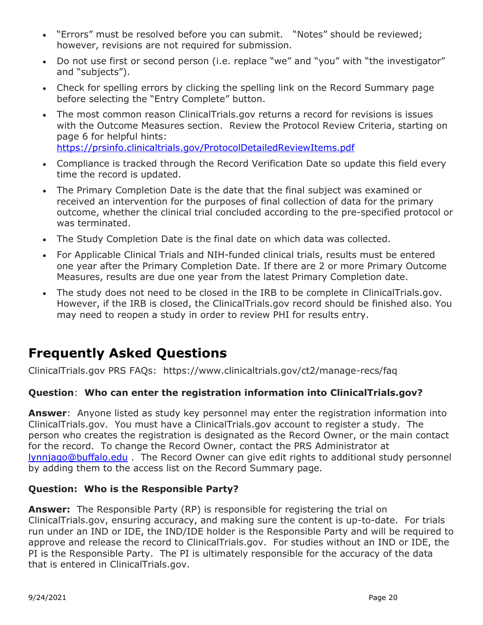- "Errors" must be resolved before you can submit. "Notes" should be reviewed; however, revisions are not required for submission.
- Do not use first or second person (i.e. replace "we" and "you" with "the investigator" and "subjects").
- Check for spelling errors by clicking the spelling link on the Record Summary page before selecting the "Entry Complete" button.
- The most common reason ClinicalTrials.gov returns a record for revisions is issues with the Outcome Measures section. Review the Protocol Review Criteria, starting on page 6 for helpful hints: <https://prsinfo.clinicaltrials.gov/ProtocolDetailedReviewItems.pdf>
- Compliance is tracked through the Record Verification Date so update this field every time the record is updated.
- The Primary Completion Date is the date that the final subject was examined or received an intervention for the purposes of final collection of data for the primary outcome, whether the clinical trial concluded according to the pre-specified protocol or was terminated.
- The Study Completion Date is the final date on which data was collected.
- For Applicable Clinical Trials and NIH-funded clinical trials, results must be entered one year after the Primary Completion Date. If there are 2 or more Primary Outcome Measures, results are due one year from the latest Primary Completion date.
- The study does not need to be closed in the IRB to be complete in ClinicalTrials.gov. However, if the IRB is closed, the ClinicalTrials.gov record should be finished also. You may need to reopen a study in order to review PHI for results entry.

# <span id="page-19-0"></span>**Frequently Asked Questions**

ClinicalTrials.gov PRS FAQs: https://www.clinicaltrials.gov/ct2/manage-recs/faq

#### **Question**: **Who can enter the registration information into ClinicalTrials.gov?**

**Answer**: Anyone listed as study key personnel may enter the registration information into ClinicalTrials.gov. You must have a ClinicalTrials.gov account to register a study. The person who creates the registration is designated as the Record Owner, or the main contact for the record. To change the Record Owner, contact the PRS Administrator at [lynnjago@buffalo.edu](mailto:lynnjago@buffalo.edu) . The Record Owner can give edit rights to additional study personnel by adding them to the access list on the Record Summary page.

#### **Question: Who is the Responsible Party?**

**Answer:** The Responsible Party (RP) is responsible for registering the trial on ClinicalTrials.gov, ensuring accuracy, and making sure the content is up-to-date. For trials run under an IND or IDE, the IND/IDE holder is the Responsible Party and will be required to approve and release the record to ClinicalTrials.gov. For studies without an IND or IDE, the PI is the Responsible Party. The PI is ultimately responsible for the accuracy of the data that is entered in ClinicalTrials.gov.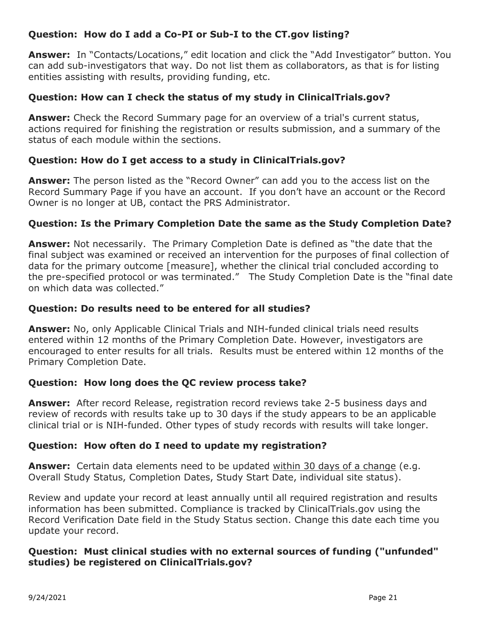#### **Question: How do I add a Co-PI or Sub-I to the CT.gov listing?**

**Answer:** In "Contacts/Locations," edit location and click the "Add Investigator" button. You can add sub-investigators that way. Do not list them as collaborators, as that is for listing entities assisting with results, providing funding, etc.

#### **Question: How can I check the status of my study in ClinicalTrials.gov?**

**Answer:** Check the Record Summary page for an overview of a trial's current status, actions required for finishing the registration or results submission, and a summary of the status of each module within the sections.

#### **Question: How do I get access to a study in ClinicalTrials.gov?**

**Answer:** The person listed as the "Record Owner" can add you to the access list on the Record Summary Page if you have an account. If you don't have an account or the Record Owner is no longer at UB, contact the PRS Administrator.

#### **Question: Is the Primary Completion Date the same as the Study Completion Date?**

**Answer:** Not necessarily. The Primary Completion Date is defined as "the date that the final subject was examined or received an intervention for the purposes of final collection of data for the primary outcome [measure], whether the clinical trial concluded according to the pre-specified protocol or was terminated." The Study Completion Date is the "final date on which data was collected."

#### **Question: Do results need to be entered for all studies?**

**Answer:** No, only Applicable Clinical Trials and NIH-funded clinical trials need results entered within 12 months of the Primary Completion Date. However, investigators are encouraged to enter results for all trials. Results must be entered within 12 months of the Primary Completion Date.

#### **Question: How long does the QC review process take?**

**Answer:** After record Release, registration record reviews take 2-5 business days and review of records with results take up to 30 days if the study appears to be an applicable clinical trial or is NIH-funded. Other types of study records with results will take longer.

#### **Question: How often do I need to update my registration?**

**Answer:** Certain data elements need to be updated within 30 days of a change (e.g. Overall Study Status, Completion Dates, Study Start Date, individual site status).

Review and update your record at least annually until all required registration and results information has been submitted. Compliance is tracked by ClinicalTrials.gov using the Record Verification Date field in the Study Status section. Change this date each time you update your record.

#### **Question: Must clinical studies with no external sources of funding ("unfunded" studies) be registered on ClinicalTrials.gov?**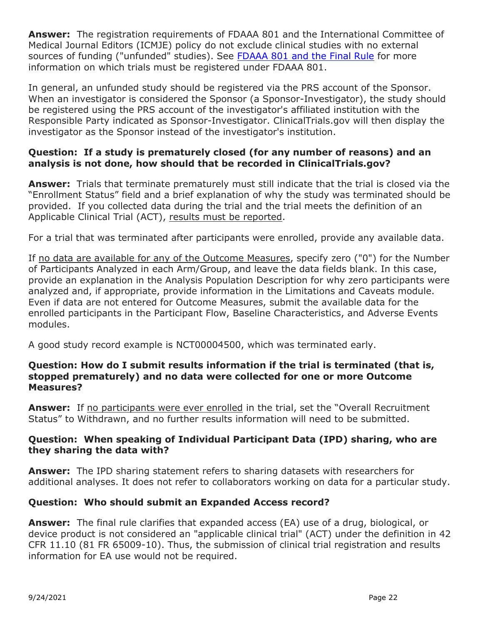**Answer:** The registration requirements of FDAAA 801 and the International Committee of Medical Journal Editors (ICMJE) policy do not exclude clinical studies with no external sources of funding ("unfunded" studies). See [FDAAA 801 and the Final Rule](https://clinicaltrials.gov/ct2/manage-recs/fdaaa) for more information on which trials must be registered under FDAAA 801.

In general, an unfunded study should be registered via the PRS account of the Sponsor. When an investigator is considered the Sponsor (a Sponsor-Investigator), the study should be registered using the PRS account of the investigator's affiliated institution with the Responsible Party indicated as Sponsor-Investigator. ClinicalTrials.gov will then display the investigator as the Sponsor instead of the investigator's institution.

#### **Question: If a study is prematurely closed (for any number of reasons) and an analysis is not done, how should that be recorded in ClinicalTrials.gov?**

**Answer:** Trials that terminate prematurely must still indicate that the trial is closed via the "Enrollment Status" field and a brief explanation of why the study was terminated should be provided. If you collected data during the trial and the trial meets the definition of an Applicable Clinical Trial (ACT), results must be reported.

For a trial that was terminated after participants were enrolled, provide any available data.

If no data are available for any of the Outcome Measures, specify zero ("0") for the Number of Participants Analyzed in each Arm/Group, and leave the data fields blank. In this case, provide an explanation in the Analysis Population Description for why zero participants were analyzed and, if appropriate, provide information in the Limitations and Caveats module. Even if data are not entered for Outcome Measures, submit the available data for the enrolled participants in the Participant Flow, Baseline Characteristics, and Adverse Events modules.

A good study record example is NCT00004500, which was terminated early.

#### **Question: How do I submit results information if the trial is terminated (that is, stopped prematurely) and no data were collected for one or more Outcome Measures?**

**Answer:** If no participants were ever enrolled in the trial, set the "Overall Recruitment Status" to Withdrawn, and no further results information will need to be submitted.

#### **Question: When speaking of Individual Participant Data (IPD) sharing, who are they sharing the data with?**

**Answer:** The IPD sharing statement refers to sharing datasets with researchers for additional analyses. It does not refer to collaborators working on data for a particular study.

#### **Question: Who should submit an Expanded Access record?**

**Answer:** The final rule clarifies that expanded access (EA) use of a drug, biological, or device product is not considered an "applicable clinical trial" (ACT) under the definition in 42 CFR 11.10 (81 FR 65009-10). Thus, the submission of clinical trial registration and results information for EA use would not be required.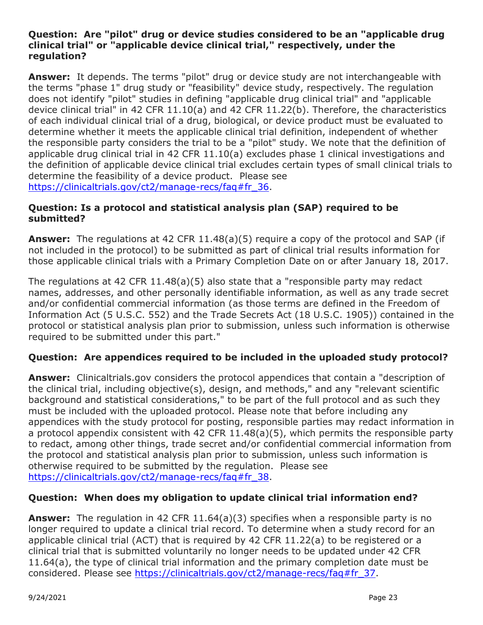#### **Question: Are "pilot" drug or device studies considered to be an "applicable drug clinical trial" or "applicable device clinical trial," respectively, under the regulation?**

**Answer:** It depends. The terms "pilot" drug or device study are not interchangeable with the terms "phase 1" drug study or "feasibility" device study, respectively. The regulation does not identify "pilot" studies in defining "applicable drug clinical trial" and "applicable device clinical trial" in 42 CFR 11.10(a) and 42 CFR 11.22(b). Therefore, the characteristics of each individual clinical trial of a drug, biological, or device product must be evaluated to determine whether it meets the applicable clinical trial definition, independent of whether the responsible party considers the trial to be a "pilot" study. We note that the definition of applicable drug clinical trial in 42 CFR 11.10(a) excludes phase 1 clinical investigations and the definition of applicable device clinical trial excludes certain types of small clinical trials to determine the feasibility of a device product. Please see https://clinicaltrials.gov/ct2/manage-recs/fag#fr\_36.

#### **Question: Is a protocol and statistical analysis plan (SAP) required to be submitted?**

**Answer:** The regulations at 42 CFR 11.48(a)(5) require a copy of the protocol and SAP (if not included in the protocol) to be submitted as part of clinical trial results information for those applicable clinical trials with a Primary Completion Date on or after January 18, 2017.

The regulations at 42 CFR 11.48(a)(5) also state that a "responsible party may redact names, addresses, and other personally identifiable information, as well as any trade secret and/or confidential commercial information (as those terms are defined in the Freedom of Information Act (5 U.S.C. 552) and the Trade Secrets Act (18 U.S.C. 1905)) contained in the protocol or statistical analysis plan prior to submission, unless such information is otherwise required to be submitted under this part."

#### **Question: Are appendices required to be included in the uploaded study protocol?**

**Answer:** Clinicaltrials.gov considers the protocol appendices that contain a "description of the clinical trial, including objective(s), design, and methods," and any "relevant scientific background and statistical considerations," to be part of the full protocol and as such they must be included with the uploaded protocol. Please note that before including any appendices with the study protocol for posting, responsible parties may redact information in a protocol appendix consistent with 42 CFR 11.48(a)(5), which permits the responsible party to redact, among other things, trade secret and/or confidential commercial information from the protocol and statistical analysis plan prior to submission, unless such information is otherwise required to be submitted by the regulation. Please see [https://clinicaltrials.gov/ct2/manage-recs/faq#fr\\_38.](https://clinicaltrials.gov/ct2/manage-recs/faq#fr_38)

#### **Question: When does my obligation to update clinical trial information end?**

**Answer:** The regulation in 42 CFR 11.64(a)(3) specifies when a responsible party is no longer required to update a clinical trial record. To determine when a study record for an applicable clinical trial (ACT) that is required by 42 CFR 11.22(a) to be registered or a clinical trial that is submitted voluntarily no longer needs to be updated under 42 CFR 11.64(a), the type of clinical trial information and the primary completion date must be considered. Please see [https://clinicaltrials.gov/ct2/manage-recs/faq#fr\\_37.](https://clinicaltrials.gov/ct2/manage-recs/faq#fr_37)